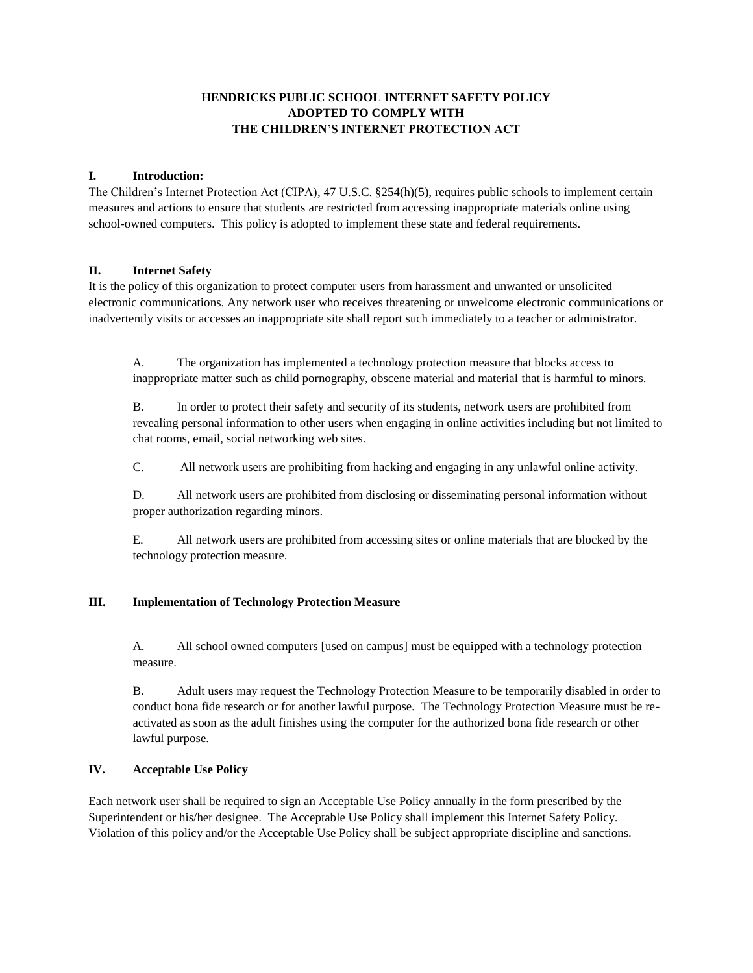# **HENDRICKS PUBLIC SCHOOL INTERNET SAFETY POLICY ADOPTED TO COMPLY WITH THE CHILDREN'S INTERNET PROTECTION ACT**

### **I. Introduction:**

The Children's Internet Protection Act (CIPA), 47 U.S.C. §254(h)(5), requires public schools to implement certain measures and actions to ensure that students are restricted from accessing inappropriate materials online using school-owned computers. This policy is adopted to implement these state and federal requirements.

## **II. Internet Safety**

It is the policy of this organization to protect computer users from harassment and unwanted or unsolicited electronic communications. Any network user who receives threatening or unwelcome electronic communications or inadvertently visits or accesses an inappropriate site shall report such immediately to a teacher or administrator.

A. The organization has implemented a technology protection measure that blocks access to inappropriate matter such as child pornography, obscene material and material that is harmful to minors.

B. In order to protect their safety and security of its students, network users are prohibited from revealing personal information to other users when engaging in online activities including but not limited to chat rooms, email, social networking web sites.

C. All network users are prohibiting from hacking and engaging in any unlawful online activity.

D. All network users are prohibited from disclosing or disseminating personal information without proper authorization regarding minors.

E. All network users are prohibited from accessing sites or online materials that are blocked by the technology protection measure.

## **III. Implementation of Technology Protection Measure**

A. All school owned computers [used on campus] must be equipped with a technology protection measure.

B. Adult users may request the Technology Protection Measure to be temporarily disabled in order to conduct bona fide research or for another lawful purpose. The Technology Protection Measure must be reactivated as soon as the adult finishes using the computer for the authorized bona fide research or other lawful purpose.

#### **IV. Acceptable Use Policy**

Each network user shall be required to sign an Acceptable Use Policy annually in the form prescribed by the Superintendent or his/her designee. The Acceptable Use Policy shall implement this Internet Safety Policy. Violation of this policy and/or the Acceptable Use Policy shall be subject appropriate discipline and sanctions.